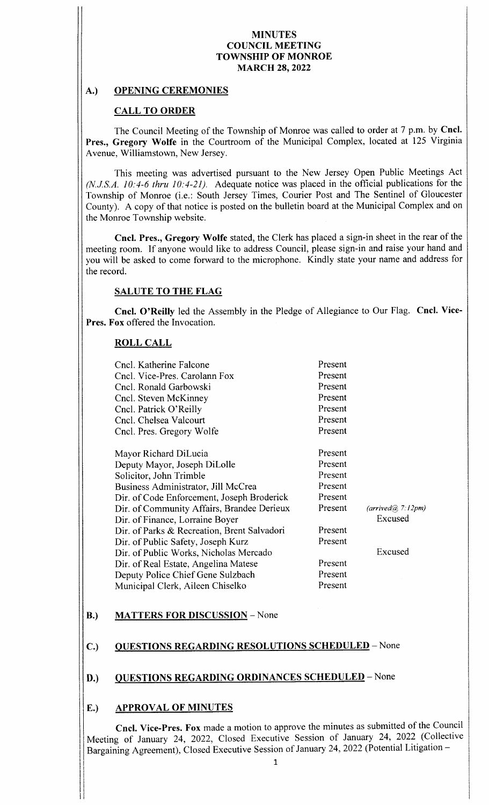### A.) OPENING CEREMONIES

### CALL TO ORDER

The Council Meeting of the Township of Monroe was called to order at <sup>7</sup> p.m. by Cncl. Pres., Gregory Wolfe in the Courtroom of the Municipal Complex, located at 125 Virginia Avenue, Williamstown, New Jersey.

This meeting was advertised pursuant to the New Jersey Open Public Meetings Act  $(N.J.S.A. 10:4-6$  thru  $10:4-21$ ). Adequate notice was placed in the official publications for the Township of Monroe (i.e.: South Jersey Times, Courier Post and The Sentinel of Gloucester County). A copy of that notice is posted on the bulletin board at the Municipal Complex and on the Monroe Township website.

Cncl. Pres., Gregory Wolfe stated, the Clerk has placed a sign-in sheet in the rear of the meeting room. If anyone would like to address Council, please sign-in and raise your hand and you will be asked to come forward to the microphone. Kindly state your name and address for the record.

## SALUTE TO THE FLAG

Cncl. O' Reilly led the Assembly in the Pledge of Allegiance to Our Flag. Cncl. Vice-Pres. Fox offered the Invocation.

## ROLL CALL

| Cncl. Katherine Falcone                     | Present |                   |
|---------------------------------------------|---------|-------------------|
| Cncl. Vice-Pres. Carolann Fox               | Present |                   |
| Cncl. Ronald Garbowski                      | Present |                   |
| Cncl. Steven McKinney                       | Present |                   |
| Cncl. Patrick O'Reilly                      | Present |                   |
| Cncl. Chelsea Valcourt                      | Present |                   |
| Cncl. Pres. Gregory Wolfe                   | Present |                   |
| Mayor Richard DiLucia                       | Present |                   |
| Deputy Mayor, Joseph DiLolle                | Present |                   |
| Solicitor, John Trimble                     | Present |                   |
| Business Administrator, Jill McCrea         | Present |                   |
| Dir. of Code Enforcement, Joseph Broderick  | Present |                   |
| Dir. of Community Affairs, Brandee Derieux  | Present | (arrived@??:12pm) |
| Dir. of Finance, Lorraine Boyer             |         | Excused           |
| Dir. of Parks & Recreation, Brent Salvadori | Present |                   |
| Dir. of Public Safety, Joseph Kurz          | Present |                   |
| Dir. of Public Works, Nicholas Mercado      |         | Excused           |
| Dir. of Real Estate, Angelina Matese        | Present |                   |
| Deputy Police Chief Gene Sulzbach           | Present |                   |
| Municipal Clerk, Aileen Chiselko            | Present |                   |
|                                             |         |                   |

B.) MATTERS FOR DISCUSSION - None

## C.) QUESTIONS REGARDING RESOLUTIONS SCHEDULED - None

## D.) QUESTIONS REGARDING ORDINANCES SCHEDULED - None

### E.) APPROVAL OF MINUTES

Cncl. Vice- Pres. Fox made a motion to approve the minutes as submitted of the Council Meeting of January 24, 2022, Closed Executive Session of January 24, 2022 (Collective Bargaining Agreement), Closed Executive Session of January 24, 2022 (Potential Litigation -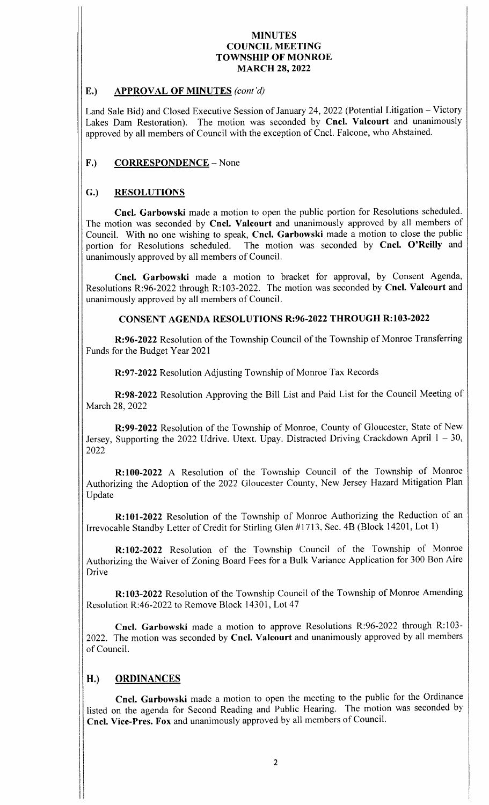## E.) APPROVAL OF MINUTES (cont'd)

Land Sale Bid) and Closed Executive Session of January 24, 2022 (Potential Litigation – Victory Lakes Dam Restoration). The motion was seconded by Cncl. Valcourt and unanimously approved by all members of Council with the exception of Cncl. Falcone, who Abstained.

# F.) CORRESPONDENCE – None

# G.) RESOLUTIONS

Cncl. Garbowski made a motion to open the public portion for Resolutions scheduled. The motion was seconded by Cncl. Valcourt and unanimously approved by all members of Council. With no one wishing to speak, Cncl. Garbowski made <sup>a</sup> motion to close the public portion for Resolutions scheduled. The motion was seconded by Cncl. O'Reilly and unanimously approved by all members of Council.

Cncl. Garbowski made <sup>a</sup> motion to bracket for approval, by Consent Agenda, Resolutions R: 96-2022 through R: 103-2022. The motion was seconded by Cncl. Valcourt and unanimously approved by all members of Council.

# CONSENT AGENDA RESOLUTIONS R:96-2022 THROUGH R:103-2022

R: 96-2022 Resolution of the Township Council of the Township of Monroe Transferring Funds for the Budget Year 2021

R: 97-2022 Resolution Adjusting Township of Monroe Tax Records

R:98-2022 Resolution Approving the Bill List and Paid List for the Council Meeting of March 28, 2022

R: 99-2022 Resolution of the Township of Monroe, County of Gloucester, State of New Jersey, Supporting the 2022 Udrive. Utext. Upay. Distracted Driving Crackdown April  $1 - 30$ , 2022

R: 100-2022 A Resolution of the Township Council of the Township of Monroe Authorizing the Adoption of the 2022 Gloucester County, New Jersey Hazard Mitigation Plan Update

R: 101-2022 Resolution of the Township of Monroe Authorizing the Reduction of an Irrevocable Standby Letter of Credit for Stirling Glen #1713, Sec. 4B (Block 14201, Lot 1)

R: 102-2022 Resolution of the Township Council of the Township of Monroe Authorizing the Waiver of Zoning Board Fees for <sup>a</sup> Bulk Variance Application for 300 Bon Aire Drive

R: 103-2022 Resolution of the Township Council of the Township of Monroe Amending Resolution R:46-2022 to Remove Block 14301, Lot 47

Cncl. Garbowski made a motion to approve Resolutions R:96-2022 through R:103-2022. The motion was seconded by Cncl. Valcourt and unanimously approved by all members of Council.

# H.) ORDINANCES

Cncl. Garbowski made a motion to open the meeting to the public for the Ordinance listed on the agenda for Second Reading and Public Hearing. The motion was seconded by Cncl. Vice-Pres. Fox and unanimously approved by all members of Council.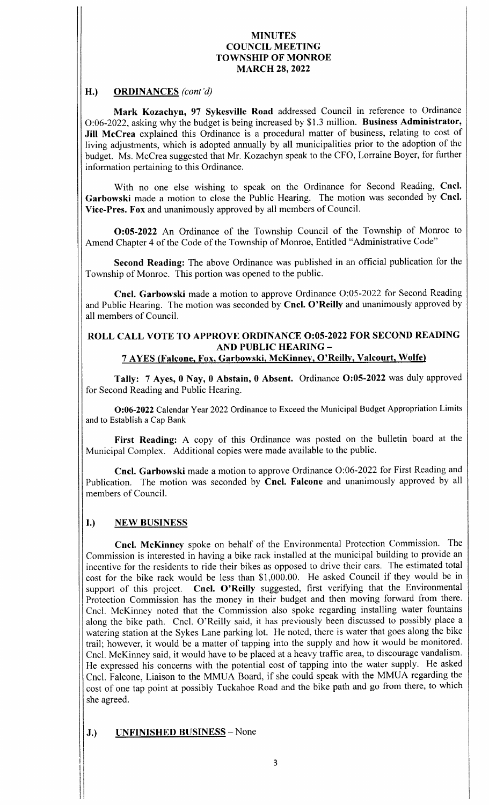## H.) ORDINANCES (cont'd)

Mark Kozachyn, 97 Sykesville Road addressed Council in reference to Ordinance 0:06- 2022, asking why the budget is being increased by \$ 1. <sup>3</sup> million. Business Administrator, Jill McCrea explained this Ordinance is a procedural matter of business, relating to cost of living adjustments, which is adopted annually by all municipalities prior to the adoption of the budget. Ms. McCrea suggested that Mr. Kozachyn speak to the CFO, Lorraine Boyer, for further information pertaining to this Ordinance.

With no one else wishing to speak on the Ordinance for Second Reading, Cncl. Garbowski made <sup>a</sup> motion to close the Public Hearing. The motion was seconded by Cncl. Vice-Pres. Fox and unanimously approved by all members of Council.

0:05-2022 An Ordinance of the Township Council of the Township of Monroe to Amend Chapter 4 of the Code of the Township of Monroe, Entitled " Administrative Code"

Second Reading: The above Ordinance was published in an official publication for the Township of Monroe. This portion was opened to the public.

Cncl. Garbowski made a motion to approve Ordinance O:05-2022 for Second Reading and Public Hearing. The motion was seconded by Cncl. O'Reilly and unanimously approved by all members of Council.

#### ROLL CALL VOTE TO APPROVE ORDINANCE 0:05-2022 FOR SECOND READING AND PUBLIC HEARING— 7 AYES ( Falcone, Fox, Garbowski, McKinney, O' Reilly, Valcourt, Wolfe)

Tally: 7 Ayes, 0 Nay, 0 Abstain, 0 Absent. Ordinance O:05-2022 was duly approved for Second Reading and Public Hearing.

O:06-2022 Calendar Year 2022 Ordinance to Exceed the Municipal Budget Appropriation Limits and to Establish a Cap Bank

First Reading: A copy of this Ordinance was posted on the bulletin board at the Municipal Complex. Additional copies were made available to the public.

Cncl. Garbowski made <sup>a</sup> motion to approve Ordinance 0:06- 2022 for First Reading and Publication. The motion was seconded by Cncl. Falcone and unanimously approved by all members of Council.

## I.) NEW BUSINESS

Cncl. McKinney spoke on behalf of the Environmental Protection Commission. The Commission is interested in having a bike rack installed at the municipal building to provide an incentive for the residents to ride their bikes as opposed to drive their cars. The estimated total cost for the bike rack would be less than \$1,000.00. He asked Council if they would be in support of this project. Cncl. O'Reilly suggested, first verifying that the Environmental Protection Commission has the money in their budget and then moving forward from there. Cncl. McKinney noted that the Commission also spoke regarding installing water fountains along the bike path. Cncl. O' Reilly said, it has previously been discussed to possibly place <sup>a</sup> watering station at the Sykes Lane parking lot. He noted, there is water that goes along the bike trail; however, it would be <sup>a</sup> matter of tapping into the supply and how it would be monitored. Cncl. McKinney said, it would have to be placed at <sup>a</sup> heavy traffic area, to discourage vandalism. He expressed his concerns with the potential cost of tapping into the water supply. He asked Cncl. Falcone, Liaison to the MMUA Board, if she could speak with the MMUA regarding the cost of one tap point at possibly Tuckahoe Road and the bike path and go from there, to which she agreed.

J.) UNFINISHED BUSINESS - None

I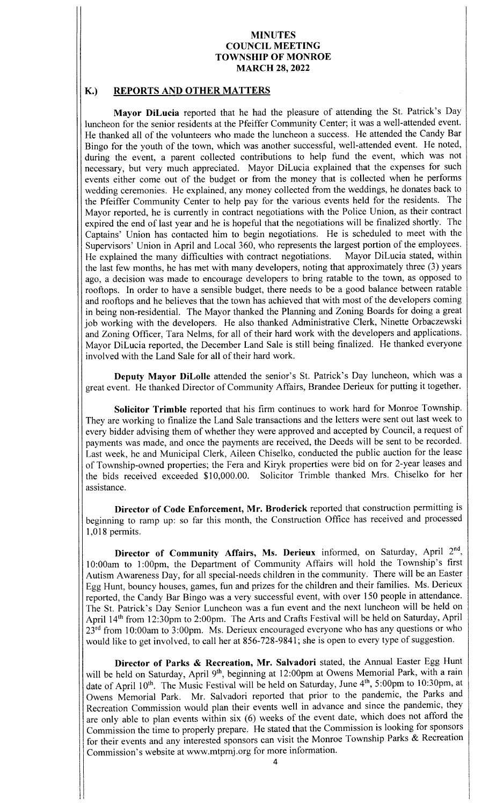#### K.) REPORTS AND OTHER MATTERS

Mayor DiLucia reported that he had the pleasure of attending the St. Patrick's Day luncheon for the senior residents at the Pfeiffer Community Center; it was a well-attended event. He thanked all of the volunteers who made the luncheon <sup>a</sup> success. He attended the Candy Bar Bingo for the youth of the town, which was another successful, well-attended event. He noted, during the event, a parent collected contributions to help fund the event, which was not necessary, but very much appreciated. Mayor DiLucia explained that the expenses for such events either come out of the budget or from the money that is collected when he performs wedding ceremonies. He explained, any money collected from the weddings, he donates back to the Pfeiffer Community Center to help pay for the various events held for the residents. The Mayor reported, he is currently in contract negotiations with the Police Union, as their contract expired the end of last year and he is hopeful that the negotiations will be finalized shortly. The Captains' Union has contacted him to begin negotiations. He is scheduled to meet with the Supervisors' Union in April and Local 360, who represents the largest portion of the employees.<br>He explained the many difficulties with contract negotiations. Mayor DiLucia stated, within He explained the many difficulties with contract negotiations. the last few months, he has met with many developers, noting that approximately three (3) years ago, a decision was made to encourage developers to bring ratable to the town, as opposed to rooftops. In order to have a sensible budget, there needs to be a good balance between ratable and rooftops and he believes that the town has achieved that with most of the developers coming in being non- residential. The Mayor thanked the Planning and Zoning Boards for doing <sup>a</sup> great job working with the developers. He also thanked Administrative Clerk, Ninette Orbaczewski and Zoning Officer, Tara Nelms, for all of their hard work with the developers and applications. Mayor DiLucia reported, the December Land Sale is still being finalized. He thanked everyone involved with the Land Sale for all of their hard work.

Deputy Mayor DiLolle attended the senior's St. Patrick's Day luncheon, which was a great event. He thanked Director of Community Affairs, Brandee Derieux for putting it together.

Solicitor Trimble reported that his firm continues to work hard for Monroe Township. They are working to finalize the Land Sale transactions and the letters were sent out last week to every bidder advising them of whether they were approved and accepted by Council, a request of payments was made, and once the payments are received, the Deeds will be sent to be recorded. Last week, he and Municipal Clerk, Aileen Chiselko, conducted the public auction for the lease of Township-owned properties; the Fera and Kiryk properties were bid on for 2-year leases and the bids received exceeded \$10,000.00. Solicitor Trimble thanked Mrs. Chiselko for her assistance.

Director of Code Enforcement, Mr. Broderick reported that construction permitting is beginning to ramp up: so far this month, the Construction Office has received and processed 1, 018 permits.

Director of Community Affairs, Ms. Derieux informed, on Saturday, April  $2<sup>nd</sup>$ , 10:00am to 1:00pm, the Department of Community Affairs will hold the Township's first Autism Awareness Day, for all special-needs children in the community. There will be an Easter Egg Hunt, bouncy houses, games, fun and prizes for the children and their families. Ms. Derieux reported, the Candy Bar Bingo was a very successful event, with over 150 people in attendance. The St. Patrick's Day Senior Luncheon was a fun event and the next luncheon will be held on April 14<sup>th</sup> from 12:30pm to 2:00pm. The Arts and Crafts Festival will be held on Saturday, April  $23<sup>rd</sup>$  from 10:00am to 3:00pm. Ms. Derieux encouraged everyone who has any questions or who would like to get involved, to call her at 856-728-9841; she is open to every type of suggestion.

Director of Parks & Recreation, Mr. Salvadori stated, the Annual Easter Egg Hunt will be held on Saturday, April 9<sup>th</sup>, beginning at 12:00pm at Owens Memorial Park, with a rain date of April 10<sup>th</sup>. The Music Festival will be held on Saturday, June 4<sup>th</sup>, 5:00pm to 10:30pm, at Owens Memorial Park. Mr. Salvadori reported that prior to the pandemic, the Parks and Recreation Commission would plan their events well in advance and since the pandemic, they are only able to plan events within six (6) weeks of the event date, which does not afford the Commission the time to properly prepare. He stated that the Commission is looking for sponsors for their events and any interested sponsors can visit the Monroe Township Parks & Recreation Commission's website at www.mtprnj.org for more information.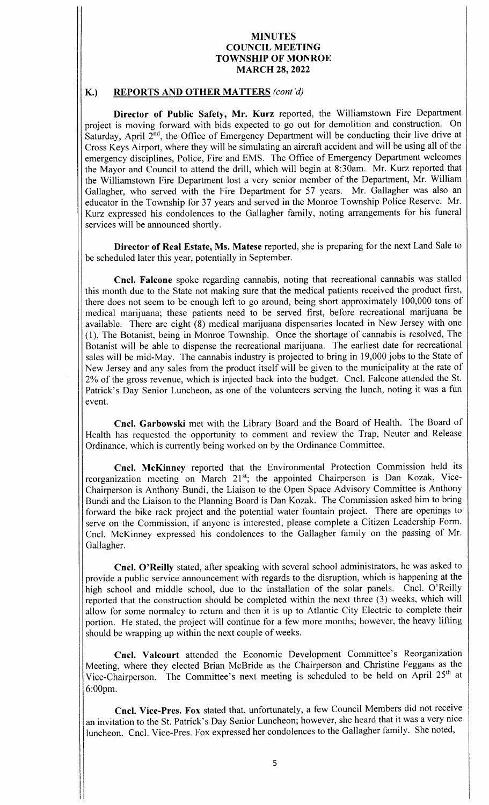### K.) REPORTS AND OTHER MATTERS (cont'd)

Director of Public Safety, Mr. Kurz reported, the Williamstown Fire Department project is moving forward with bids expected to go out for demolition and construction. On Saturday, April 2<sup>nd</sup>, the Office of Emergency Department will be conducting their live drive at Cross Keys Airport, where they will be simulating an aircraft accident and will be using all of the emergency disciplines, Police, Fire and EMS. The Office of Emergency Department welcomes the Mayor and Council to attend the drill, which will begin at 8: 30am. Mr. Kurz reported that the Williamstown Fire Department lost <sup>a</sup> very senior member of the Department, Mr. William Gallagher, who served with the Fire Department for <sup>57</sup> years. Mr. Gallagher was also an educator in the Township for <sup>37</sup> years and served in the Monroe Township Police Reserve. Mr. Kurz expressed his condolences to the Gallagher family, noting arrangements for his funeral services will be announced shortly.

Director of Real Estate, Ms. Matese reported, she is preparing for the next Land Sale to be scheduled later this year, potentially in September.

Cncl. Falcone spoke regarding cannabis, noting that recreational cannabis was stalled this month due to the State not making sure that the medical patients received the product first, there does not seem to be enough left to go around, being short approximately 100, 000 tons of medical marijuana; these patients need to be served first, before recreational marijuana be available. There are eight (8) medical marijuana dispensaries located in New Jersey with one 1), The Botanist, being in Monroe Township. Once the shortage of cannabis is resolved, The Botanist will be able to dispense the recreational marijuana. The earliest date for recreational sales will be mid-May. The cannabis industry is projected to bring in 19,000 jobs to the State of New Jersey and any sales from the product itself will be given to the municipality at the rate of 2% of the gross revenue, which is injected back into the budget. Cncl. Falcone attended the St. Patrick's Day Senior Luncheon, as one of the volunteers serving the lunch, noting it was a fun event.

Cncl. Garbowski met with the Library Board and the Board of Health. The Board of Health has requested the opportunity to comment and review the Trap, Neuter and Release Ordinance, which is currently being worked on by the Ordinance Committee.

Cncl. McKinney reported that the Environmental Protection Commission held its reorganization meeting on March 21<sup>st</sup>; the appointed Chairperson is Dan Kozak, Vice-Chairperson is Anthony Bundi, the Liaison to the Open Space Advisory Committee is Anthony Bundi and the Liaison to the Planning Board is Dan Kozak. The Commission asked him to bring forward the bike rack project and the potential water fountain project. There are openings to serve on the Commission, if anyone is interested, please complete <sup>a</sup> Citizen Leadership Form. Cncl. McKinney expressed his condolences to the Gallagher family on the passing of Mr. Gallagher.

Cncl. O'Reilly stated, after speaking with several school administrators, he was asked to provide a public service announcement with regards to the disruption, which is happening at the high school and middle school, due to the installation of the solar panels. Cncl. O' Reilly reported that the construction should be completed within the next three (3) weeks, which will allow for some normalcy to return and then it is up to Atlantic City Electric to complete their portion. He stated, the project will continue for <sup>a</sup> few more months; however, the heavy lifting should be wrapping up within the next couple of weeks.

Cncl. Valcourt attended the Economic Development Committee's Reorganization Meeting, where they elected Brian McBride as the Chairperson and Christine Feggans as the Vice-Chairperson. The Committee's next meeting is scheduled to be held on April 25<sup>th</sup> at 6: 00pm.

Cncl. Vice- Pres. Fox stated that, unfortunately, a few Council Members did not receive an invitation to the St. Patrick's Day Senior Luncheon; however, she heard that it was a very nice luncheon. Cncl. Vice-Pres. Fox expressed her condolences to the Gallagher family. She noted,

de la construcción de la construcción de la construcción de la construcción de la construcción de la construcción de la construcción de la construcción de la construcción de la construcción de la construcción de la constru